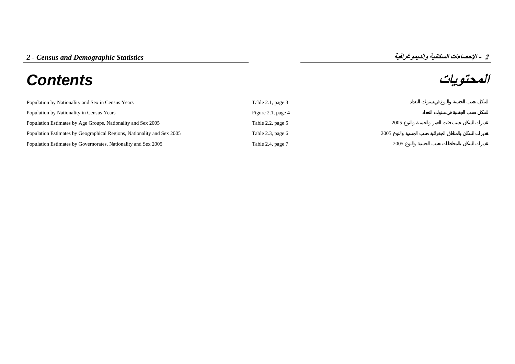# **المحتويات** *Contents*

| Population by Nationality and Sex in Census Years                      | Table 2.1, page 3  |      |
|------------------------------------------------------------------------|--------------------|------|
| Population by Nationality in Census Years                              | Figure 2.1, page 4 |      |
| Population Estimates by Age Groups, Nationality and Sex 2005           | Table 2.2, page 5  | 2005 |
| Population Estimates by Geographical Regions, Nationality and Sex 2005 | Table 2.3, page 6  | 2005 |
| Population Estimates by Governorates, Nationality and Sex 2005         | Table 2.4, page 7  | 2005 |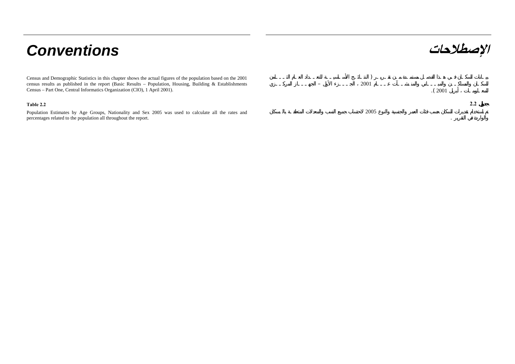# **الإصطلاحات** *Conventions*

Census and Demographic Statistics in this chapter shows the actual figures of the population based on the 2001 census results as published in the report (Basic Results – Population, Housing, Building & Establishments Census – Part One, Central Informatics Organization (CIO), 1 April 2001).

# **Table 2.2 2.2**

Population Estimates by Age Groups, Nationality and Sex 2005 was used to calculate all the rates and percentages related to the population all throughout the report.

| (2001 |  |
|-------|--|
|       |  |

 ) 2001

2005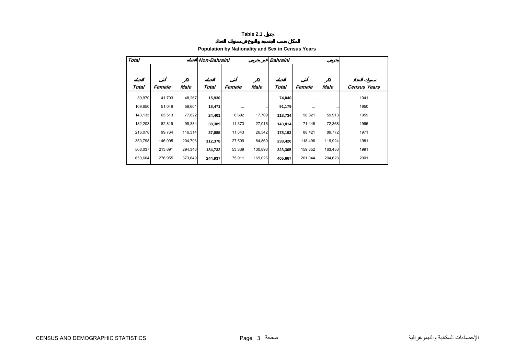# **Population by Nationality and Sex in Census Years**

<span id="page-2-0"></span>

| <b>Total</b> |         |         | Non-Bahraini |          |          | <b>Bahraini</b> |          |         |              |
|--------------|---------|---------|--------------|----------|----------|-----------------|----------|---------|--------------|
| Total        | Female  | Male    | Total        | Female   | Male     | Total           | Female   | Male    | Census Years |
|              |         |         |              |          |          |                 |          |         |              |
| 89,970       | 41,703  | 48,267  | 15,930       | $\cdots$ | $\cdots$ | 74,040          |          |         | 1941         |
| 109,650      | 51,049  | 58,601  | 18,471       | $\cdots$ | $\cdots$ | 91,179          | $\cdots$ |         | 1950         |
| 143,135      | 65,513  | 77,622  | 24,401       | 6,692    | 17,709   | 118,734         | 58,821   | 59,913  | 1959         |
| 182,203      | 82,819  | 99,384  | 38,389       | 11,373   | 27,016   | 143,814         | 71,446   | 72,368  | 1965         |
| 216,078      | 99,764  | 116,314 | 37,885       | 11,343   | 26,542   | 178,193         | 88,421   | 89,772  | 1971         |
| 350,798      | 146,005 | 204,793 | 112,378      | 27,509   | 84,869   | 238,420         | 118,496  | 119,924 | 1981         |
| 508,037      | 213,691 | 294,346 | 184,732      | 53,839   | 130,893  | 323,305         | 159,852  | 163,453 | 1991         |
| 650,604      | 276,955 | 373,649 | 244,937      | 75,911   | 169,026  | 405,667         | 201,044  | 204,623 | 2001         |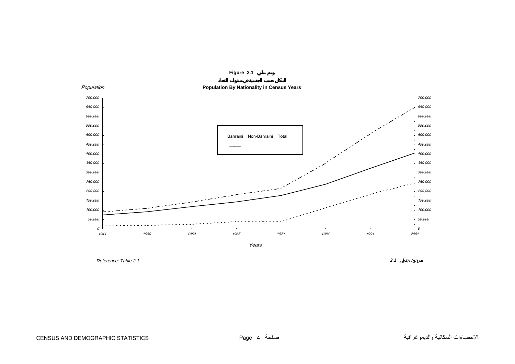<span id="page-3-0"></span>

**Figure 2.1**

*Reference: Table 2.1*

*2.1* :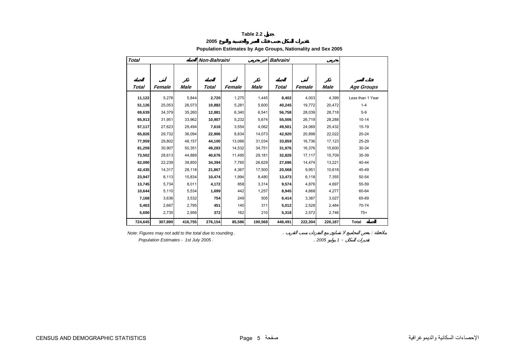**2005**

# **Population Estimates by Age Groups, Nationality and Sex 2005**

<span id="page-4-0"></span>

| <b>Total</b> |         |         | Non-Bahraini |        |         | <b>Bahraini</b> |         |         |                   |
|--------------|---------|---------|--------------|--------|---------|-----------------|---------|---------|-------------------|
|              |         |         |              |        |         |                 |         |         |                   |
| Total        | Female  | Male    | Total        | Female | Male    | Total           | Female  | Male    | <b>Age Groups</b> |
|              |         |         |              |        |         |                 |         |         |                   |
| 11,122       | 5,278   | 5,844   | 2,720        | 1,275  | 1,445   | 8,402           | 4,003   | 4,399   | Less than 1 Year  |
| 51,126       | 25,053  | 26,073  | 10,882       | 5,281  | 5,600   | 40,245          | 19,772  | 20,472  | $1 - 4$           |
| 69,639       | 34.379  | 35,260  | 12,881       | 6,340  | 6,541   | 56,758          | 28,039  | 28.718  | $5-9$             |
| 65,913       | 31,951  | 33,962  | 10,907       | 5,232  | 5,674   | 55,006          | 26,719  | 28,288  | $10 - 14$         |
| 57,117       | 27,623  | 29,494  | 7,616        | 3,554  | 4,062   | 49,501          | 24,069  | 25,432  | 15-19             |
| 65,826       | 29,732  | 36,094  | 22,906       | 8,834  | 14,073  | 42,920          | 20,898  | 22,022  | $20 - 24$         |
| 77,959       | 29,802  | 48,157  | 44,100       | 13,066 | 31,034  | 33,859          | 16,736  | 17,123  | 25-29             |
| 81,259       | 30,907  | 50,351  | 49,283       | 14,532 | 34,751  | 31,976          | 16,376  | 15,600  | 30-34             |
| 73,502       | 28,613  | 44,889  | 40,676       | 11,495 | 29,181  | 32,826          | 17,117  | 15,709  | 35-39             |
| 62,090       | 22,239  | 39,850  | 34,394       | 7,765  | 26,629  | 27,696          | 14,474  | 13,221  | 40-44             |
| 42,435       | 14,317  | 28,118  | 21,867       | 4,367  | 17,500  | 20,568          | 9,951   | 10,618  | 45-49             |
| 23,947       | 8,113   | 15,834  | 10,474       | 1,994  | 8,480   | 13,473          | 6,118   | 7,355   | 50-54             |
| 13,745       | 5,734   | 8,011   | 4,172        | 858    | 3,314   | 9,574           | 4,876   | 4,697   | 55-59             |
| 10,644       | 5,110   | 5,534   | 1,699        | 442    | 1,257   | 8,945           | 4,668   | 4,277   | 60-64             |
| 7,168        | 3,636   | 3,532   | 754          | 249    | 505     | 6,414           | 3,387   | 3,027   | 65-69             |
| 5,463        | 2,667   | 2,795   | 451          | 140    | 311     | 5,012           | 2,528   | 2,484   | 70-74             |
| 5,690        | 2,735   | 2,956   | 372          | 162    | 210     | 5,318           | 2,572   | 2,746   | $75+$             |
| 724,645      | 307,890 | 416,755 | 276,154      | 85,586 | 190,568 | 448,491         | 222,304 | 226,187 | <b>Total</b>      |

*Note: Figures may not add to the total due to rounding .* . :

 *Population Estimates - 1st July 2005 .* . *2005 1* -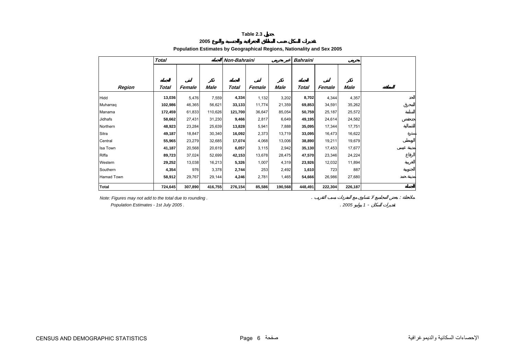**2005**

# **Population Estimates by Geographical Regions, Nationality and Sex 2005**

<span id="page-5-0"></span>

|              | Total   |         |         |              | <b>Bahraini</b><br>Non-Bahraini |         |         |         |         |  |
|--------------|---------|---------|---------|--------------|---------------------------------|---------|---------|---------|---------|--|
|              |         |         |         |              |                                 |         |         |         |         |  |
|              |         |         |         |              |                                 |         |         |         |         |  |
| Region       | Total   | Female  | Male    | <b>Total</b> | Female                          | Male    | Total   | Female  | Male    |  |
| Hidd         | 13,036  | 5,476   | 7,559   | 4,334        | 1,132                           | 3,202   | 8,702   | 4,344   | 4,357   |  |
| Muharraq     | 102,986 | 46,365  | 56,621  | 33,133       | 11,774                          | 21,359  | 69,853  | 34,591  | 35,262  |  |
| Manama       | 172,459 | 61,833  | 110,626 | 121,700      | 36,647                          | 85,054  | 50,759  | 25,187  | 25,572  |  |
| Jidhafs      | 58,662  | 27,431  | 31,230  | 9,466        | 2,817                           | 6,649   | 49,195  | 24,614  | 24,582  |  |
| Northern     | 48,923  | 23,284  | 25,639  | 13,828       | 5,941                           | 7,888   | 35,095  | 17,344  | 17,751  |  |
| Sitra        | 49,187  | 18,847  | 30,340  | 16,092       | 2,373                           | 13,719  | 33,095  | 16,473  | 16,622  |  |
| Central      | 55,965  | 23,279  | 32,685  | 17,074       | 4,068                           | 13,006  | 38,890  | 19,211  | 19,679  |  |
| Isa Town     | 41,187  | 20,568  | 20,619  | 6,057        | 3,115                           | 2,942   | 35,130  | 17,453  | 17,677  |  |
| Riffa        | 89,723  | 37,024  | 52,699  | 42,153       | 13,678                          | 28,475  | 47,570  | 23,346  | 24,224  |  |
| Western      | 29,252  | 13,038  | 16,213  | 5,326        | 1,007                           | 4,319   | 23,926  | 12,032  | 11,894  |  |
| Southern     | 4,354   | 976     | 3,378   | 2,744        | 253                             | 2,492   | 1,610   | 723     | 887     |  |
| Hamad Town   | 58,912  | 29,767  | 29,144  | 4,246        | 2,781                           | 1,465   | 54,666  | 26,986  | 27,680  |  |
| <b>Total</b> | 724,645 | 307,890 | 416,755 | 276,154      | 85,586                          | 190,568 | 448,491 | 222,304 | 226,187 |  |

*Note: Figures may not add to the total due to rounding .* . :

 *Population Estimates - 1st July 2005 .* . *2005 1* -